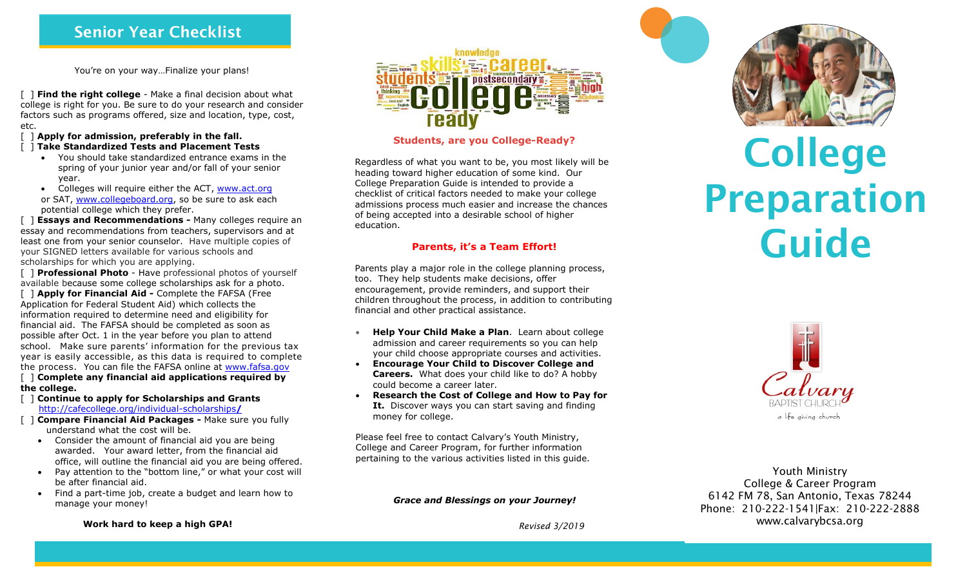## **Senior Year Checklist**

You're on your way…Finalize your plans!

[ ] **Find the right college** - Make a final decision about what college is right for you. Be sure to do your research and consider factors such as programs offered, size and location, type, cost, etc.

#### [ ] **Apply for admission, preferably in the fall.**

#### [ ] **Take Standardized Tests and Placement Tests**

- You should take standardized entrance exams in the spring of your junior year and/or fall of your senior year.
- Colleges will require either the ACT, [www.act.org](http://www.act.org/) or SAT, [www.collegeboard.org,](http://www.collegeboard.org/) so be sure to ask each potential college which they prefer.

[ ] **Essays and Recommendations -** Many colleges require an essay and recommendations from teachers, supervisors and at least one from your senior counselor. Have multiple copies of your SIGNED letters available for various schools and scholarships for which you are applying.

[ ] **Professional Photo** - Have professional photos of yourself available because some college scholarships ask for a photo.

[ ] **Apply for Financial Aid -** Complete the FAFSA (Free Application for Federal Student Aid) which collects the information required to determine need and eligibility for financial aid. The FAFSA should be completed as soon as possible after Oct. 1 in the year before you plan to attend school. Make sure parents' information for the previous tax year is easily accessible, as this data is required to complete the process. You can file the FAFSA online at [www.fafsa.gov](http://www.fafsa.gov/)

#### [ ] **Complete any financial aid applications required by the college.**

- [ ] **Continue to apply for Scholarships and Grants** [http://cafecollege.org/individual-scholarships](http://cafecollege.org/individual-scholarships/)**/**
- [ ] **Compare Financial Aid Packages -** Make sure you fully understand what the cost will be.
	- Consider the amount of financial aid you are being awarded. Your award letter, from the financial aid office, will outline the financial aid you are being offered.
	- Pay attention to the "bottom line," or what your cost will be after financial aid.
	- Find a part-time job, create a budget and learn how to manage your money!





### **Students, are you College-Ready?**

Regardless of what you want to be, you most likely will be heading toward higher education of some kind. Our College Preparation Guide is intended to provide a checklist of critical factors needed to make your college admissions process much easier and increase the chances of being accepted into a desirable school of higher education.

## **Parents, it's a Team Effort!**

Parents play a major role in the college planning process, too. They help students make decisions, offer encouragement, provide reminders, and support their children throughout the process, in addition to contributing financial and other practical assistance.

- **Help Your Child Make a Plan**. Learn about college admission and career requirements so you can help your child choose appropriate courses and activities.
- **Encourage Your Child to Discover College and Careers.** What does your child like to do? A hobby could become a career later.
- **Research the Cost of College and How to Pay for It.** Discover ways you can start saving and finding money for college.

Please feel free to contact Calvary's Youth Ministry, College and Career Program, for further information pertaining to the various activities listed in this guide.

*Grace and Blessings on your Journey!*

*Revised 3/2019*



# **College Preparation Guide**



Youth Ministry College & Career Program 6142 FM 78, San Antonio, Texas 78244 Phone: 210-222-1541|Fax: 210-222-2888 www.calvarybcsa.org